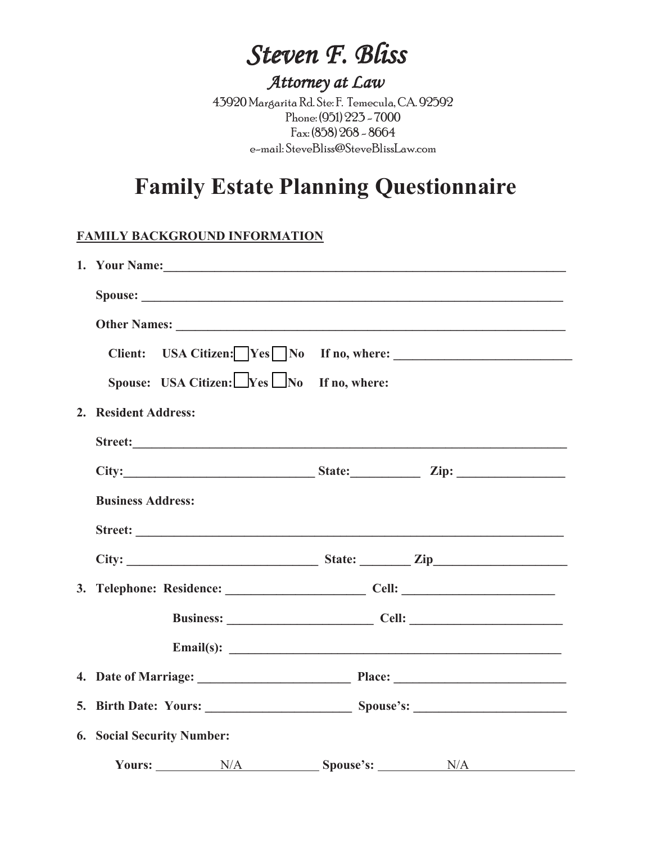# *Steven F. Bliss*

# *Attorney at Law*

43920 Margarita Rd. Ste: F. Temecula, CA. 92592 Phone: (951) 223 - 7000 Fax: (858) 268 - 8664 e-mail: SteveBliss@SteveBlissLaw.com

# **Family Estate Planning Questionnaire**

#### **FAMILY BACKGROUND INFORMATION**

|                                                         | 1. Your Name:                                                                                                                                                                                                                 |
|---------------------------------------------------------|-------------------------------------------------------------------------------------------------------------------------------------------------------------------------------------------------------------------------------|
|                                                         |                                                                                                                                                                                                                               |
|                                                         |                                                                                                                                                                                                                               |
| <b>Client:</b>                                          | USA Citizen: $\Box$ Yes $\Box$ No If no, where: $\Box$                                                                                                                                                                        |
| Spouse: USA Citizen: $\Box$ Yes $\Box$ No If no, where: |                                                                                                                                                                                                                               |
| 2. Resident Address:                                    |                                                                                                                                                                                                                               |
|                                                         |                                                                                                                                                                                                                               |
|                                                         | City: City: City: City: City: City: City: City: City: City: City: City: City: City: City: City: City: City: City: City: City: City: City: City: City: City: City: City: City: City: City: City: City: City: City: City: City: |
| <b>Business Address:</b>                                |                                                                                                                                                                                                                               |
|                                                         |                                                                                                                                                                                                                               |
|                                                         |                                                                                                                                                                                                                               |
|                                                         |                                                                                                                                                                                                                               |
|                                                         | Business: Cell: Cell:                                                                                                                                                                                                         |
|                                                         | Email(s): $\qquad \qquad$                                                                                                                                                                                                     |
|                                                         |                                                                                                                                                                                                                               |
|                                                         |                                                                                                                                                                                                                               |
| <b>6. Social Security Number:</b>                       |                                                                                                                                                                                                                               |
| Yours: $N/A$ Spouse's: $N/A$                            |                                                                                                                                                                                                                               |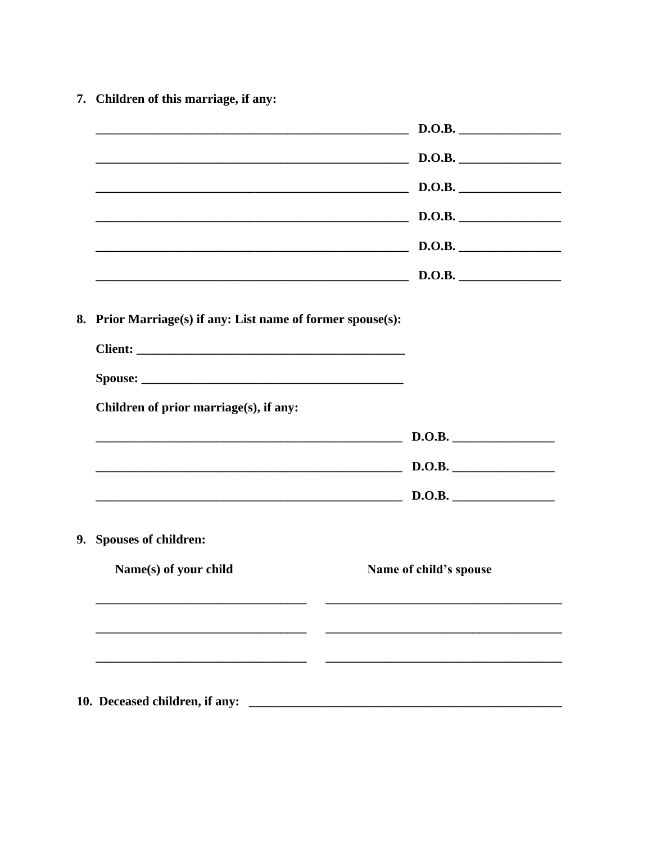7. Children of this marriage, if any:

|                                                             | $\sim$ D.O.B.                                                 |
|-------------------------------------------------------------|---------------------------------------------------------------|
|                                                             | $\sim$ D.O.B.                                                 |
|                                                             | $\sim$ D.O.B.                                                 |
|                                                             | $\sim$ D.O.B.                                                 |
|                                                             | $\sim$ D.O.B.                                                 |
|                                                             | $\sim$ D.O.B. $\sim$ D.O.B.                                   |
| 8. Prior Marriage(s) if any: List name of former spouse(s): |                                                               |
|                                                             |                                                               |
| Children of prior marriage(s), if any:                      |                                                               |
|                                                             | D.O.B.                                                        |
| D.O.B.                                                      |                                                               |
|                                                             | $\qquad \qquad \textbf{D.O.B.} \qquad \qquad \textbf{D.O.B.}$ |
| 9. Spouses of children:                                     |                                                               |
| Name(s) of your child                                       | Name of child's spouse                                        |
|                                                             |                                                               |
|                                                             |                                                               |
|                                                             |                                                               |
| 10. Deceased children, if any:                              |                                                               |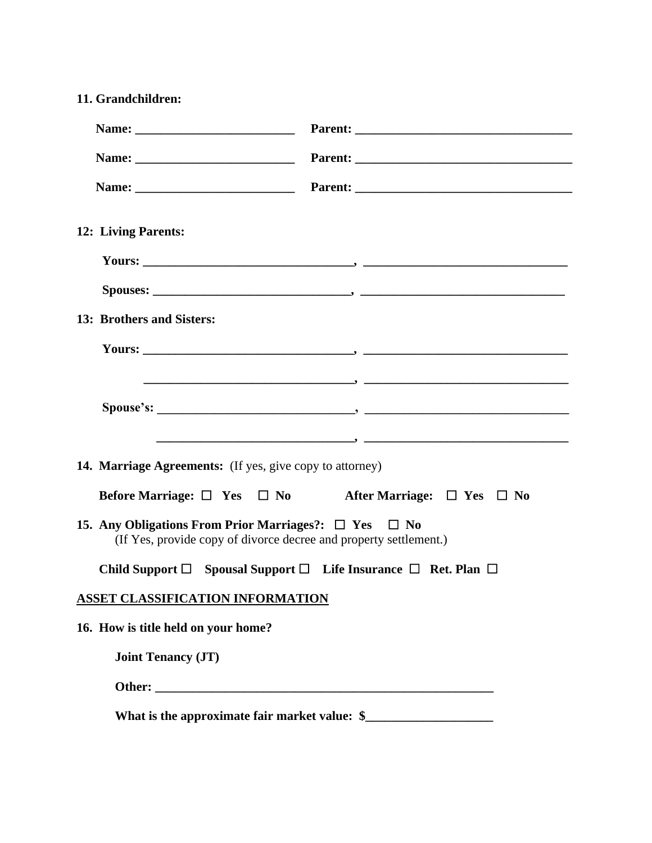| 11. Grandchildren:                                                                                                                   |                                                                            |  |  |  |
|--------------------------------------------------------------------------------------------------------------------------------------|----------------------------------------------------------------------------|--|--|--|
|                                                                                                                                      |                                                                            |  |  |  |
|                                                                                                                                      |                                                                            |  |  |  |
|                                                                                                                                      |                                                                            |  |  |  |
| 12: Living Parents:                                                                                                                  |                                                                            |  |  |  |
|                                                                                                                                      |                                                                            |  |  |  |
|                                                                                                                                      |                                                                            |  |  |  |
| 13: Brothers and Sisters:                                                                                                            |                                                                            |  |  |  |
|                                                                                                                                      |                                                                            |  |  |  |
|                                                                                                                                      |                                                                            |  |  |  |
| <b>14. Marriage Agreements:</b> (If yes, give copy to attorney)                                                                      |                                                                            |  |  |  |
|                                                                                                                                      | Before Marriage: $\Box$ Yes $\Box$ No After Marriage: $\Box$ Yes $\Box$ No |  |  |  |
| 15. Any Obligations From Prior Marriages?: $\Box$ Yes $\Box$ No<br>(If Yes, provide copy of divorce decree and property settlement.) |                                                                            |  |  |  |
| Child Support $\Box$ Spousal Support $\Box$ Life Insurance $\Box$ Ret. Plan $\Box$                                                   |                                                                            |  |  |  |
| <b>ASSET CLASSIFICATION INFORMATION</b>                                                                                              |                                                                            |  |  |  |
| 16. How is title held on your home?                                                                                                  |                                                                            |  |  |  |
| <b>Joint Tenancy (JT)</b>                                                                                                            |                                                                            |  |  |  |
|                                                                                                                                      |                                                                            |  |  |  |
| What is the approximate fair market value: \$_                                                                                       |                                                                            |  |  |  |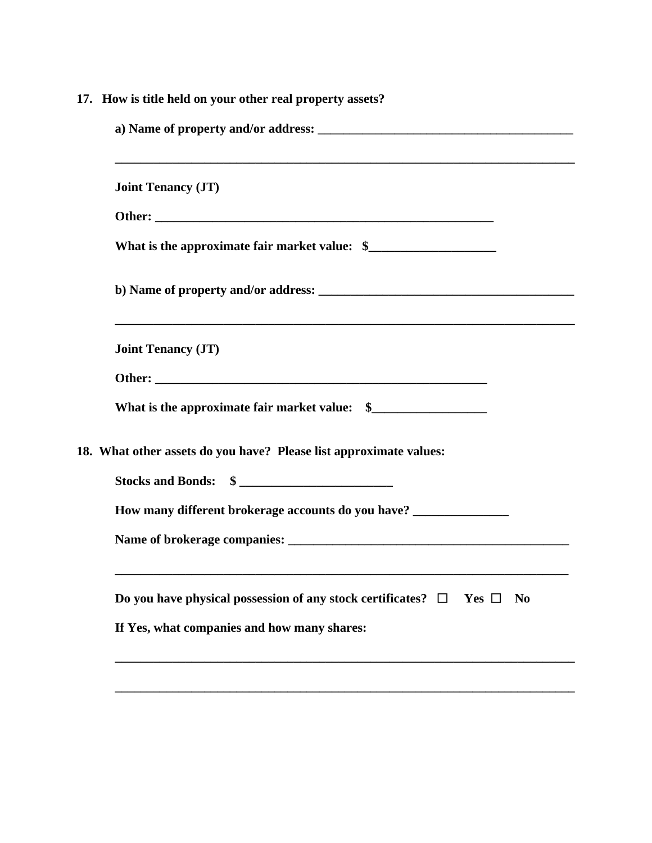|                                                                     | 17. How is title held on your other real property assets?                                         |
|---------------------------------------------------------------------|---------------------------------------------------------------------------------------------------|
|                                                                     | <b>Joint Tenancy (JT)</b>                                                                         |
|                                                                     |                                                                                                   |
|                                                                     | What is the approximate fair market value: \$                                                     |
|                                                                     |                                                                                                   |
|                                                                     | <b>Joint Tenancy (JT)</b>                                                                         |
|                                                                     |                                                                                                   |
|                                                                     |                                                                                                   |
|                                                                     | 18. What other assets do you have? Please list approximate values:                                |
|                                                                     | Stocks and Bonds: $\quad \quad \text{\AA}$                                                        |
| How many different brokerage accounts do you have? ________________ |                                                                                                   |
|                                                                     |                                                                                                   |
|                                                                     | Do you have physical possession of any stock certificates? $\Box$<br>Yes $\Box$<br>N <sub>0</sub> |
|                                                                     | If Yes, what companies and how many shares:                                                       |
|                                                                     |                                                                                                   |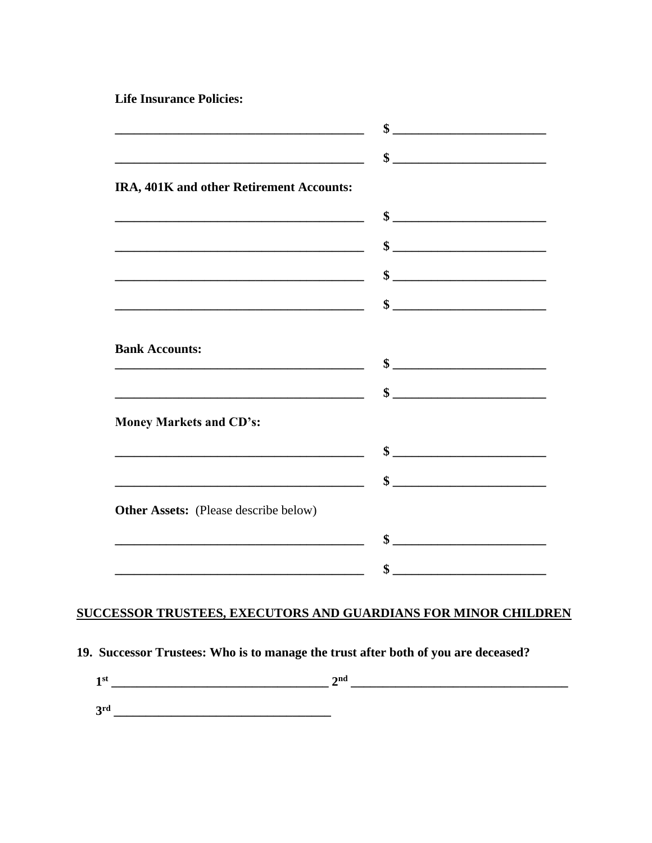**Life Insurance Policies:** 

| <u> 1980 - Johann Barbara, martxa alemaniar amerikan a</u>                                                            | <u> 1989 - Johann Barbara, martxa alemaniar a</u>                                                                                                                                                                                                                                                                                                                                                       |
|-----------------------------------------------------------------------------------------------------------------------|---------------------------------------------------------------------------------------------------------------------------------------------------------------------------------------------------------------------------------------------------------------------------------------------------------------------------------------------------------------------------------------------------------|
| <u> 2000 - 2000 - 2000 - 2000 - 2000 - 2000 - 2000 - 2000 - 2000 - 2000 - 2000 - 2000 - 2000 - 2000 - 2000 - 200</u>  | $\frac{\frac{1}{2} + \frac{1}{2} + \frac{1}{2} + \frac{1}{2} + \frac{1}{2} + \frac{1}{2} + \frac{1}{2} + \frac{1}{2} + \frac{1}{2} + \frac{1}{2} + \frac{1}{2} + \frac{1}{2} + \frac{1}{2} + \frac{1}{2} + \frac{1}{2} + \frac{1}{2} + \frac{1}{2} + \frac{1}{2} + \frac{1}{2} + \frac{1}{2} + \frac{1}{2} + \frac{1}{2} + \frac{1}{2} + \frac{1}{2} + \frac{1}{2} + \frac{1}{2} + \frac{1}{2} + \frac$ |
| IRA, 401K and other Retirement Accounts:                                                                              |                                                                                                                                                                                                                                                                                                                                                                                                         |
| <u> 1989 - Johann John Stein, mars an deus Amerikaansk kommunister (</u>                                              | $\frac{\frac{1}{2} \frac{1}{2} \frac{1}{2} \frac{1}{2} \frac{1}{2} \frac{1}{2} \frac{1}{2} \frac{1}{2} \frac{1}{2} \frac{1}{2} \frac{1}{2} \frac{1}{2} \frac{1}{2} \frac{1}{2} \frac{1}{2} \frac{1}{2} \frac{1}{2} \frac{1}{2} \frac{1}{2} \frac{1}{2} \frac{1}{2} \frac{1}{2} \frac{1}{2} \frac{1}{2} \frac{1}{2} \frac{1}{2} \frac{1}{2} \frac{1}{2} \frac{1}{2} \frac{1}{2} \frac{1}{2} \$           |
|                                                                                                                       | $\frac{\frac{1}{2} \frac{1}{2} \frac{1}{2} \frac{1}{2} \frac{1}{2} \frac{1}{2} \frac{1}{2} \frac{1}{2} \frac{1}{2} \frac{1}{2} \frac{1}{2} \frac{1}{2} \frac{1}{2} \frac{1}{2} \frac{1}{2} \frac{1}{2} \frac{1}{2} \frac{1}{2} \frac{1}{2} \frac{1}{2} \frac{1}{2} \frac{1}{2} \frac{1}{2} \frac{1}{2} \frac{1}{2} \frac{1}{2} \frac{1}{2} \frac{1}{2} \frac{1}{2} \frac{1}{2} \frac{1}{2} \$           |
| <u> 2000 - 2000 - 2000 - 2000 - 2000 - 2000 - 2000 - 2000 - 2000 - 2000 - 2000 - 2000 - 2000 - 2000 - 2000 - 200</u>  | $\sim$                                                                                                                                                                                                                                                                                                                                                                                                  |
|                                                                                                                       | $\frac{\frac{1}{2} + \frac{1}{2} + \frac{1}{2} + \frac{1}{2} + \frac{1}{2} + \frac{1}{2} + \frac{1}{2} + \frac{1}{2} + \frac{1}{2} + \frac{1}{2} + \frac{1}{2} + \frac{1}{2} + \frac{1}{2} + \frac{1}{2} + \frac{1}{2} + \frac{1}{2} + \frac{1}{2} + \frac{1}{2} + \frac{1}{2} + \frac{1}{2} + \frac{1}{2} + \frac{1}{2} + \frac{1}{2} + \frac{1}{2} + \frac{1}{2} + \frac{1}{2} + \frac{1}{2} + \frac$ |
| <b>Bank Accounts:</b>                                                                                                 |                                                                                                                                                                                                                                                                                                                                                                                                         |
|                                                                                                                       | $\frac{\frac{1}{2} + \frac{1}{2} + \frac{1}{2} + \frac{1}{2} + \frac{1}{2} + \frac{1}{2} + \frac{1}{2} + \frac{1}{2} + \frac{1}{2} + \frac{1}{2} + \frac{1}{2} + \frac{1}{2} + \frac{1}{2} + \frac{1}{2} + \frac{1}{2} + \frac{1}{2} + \frac{1}{2} + \frac{1}{2} + \frac{1}{2} + \frac{1}{2} + \frac{1}{2} + \frac{1}{2} + \frac{1}{2} + \frac{1}{2} + \frac{1}{2} + \frac{1}{2} + \frac{1}{2} + \frac$ |
| <b>Money Markets and CD's:</b>                                                                                        |                                                                                                                                                                                                                                                                                                                                                                                                         |
| <u> 1989 - Johann Barn, mars ar breithinn ar chwaraeth a bhaile ann an t-</u>                                         |                                                                                                                                                                                                                                                                                                                                                                                                         |
| <u> 1989 - Johann Barn, mars and de Branch Barn, mars and de Branch Barn, mars and de Branch Barn, mars and de Br</u> |                                                                                                                                                                                                                                                                                                                                                                                                         |
| <b>Other Assets:</b> (Please describe below)                                                                          |                                                                                                                                                                                                                                                                                                                                                                                                         |
|                                                                                                                       |                                                                                                                                                                                                                                                                                                                                                                                                         |
|                                                                                                                       | \$                                                                                                                                                                                                                                                                                                                                                                                                      |

### SUCCESSOR TRUSTEES, EXECUTORS AND GUARDIANS FOR MINOR CHILDREN

## 19. Successor Trustees: Who is to manage the trust after both of you are deceased?

| ond |
|-----|
|     |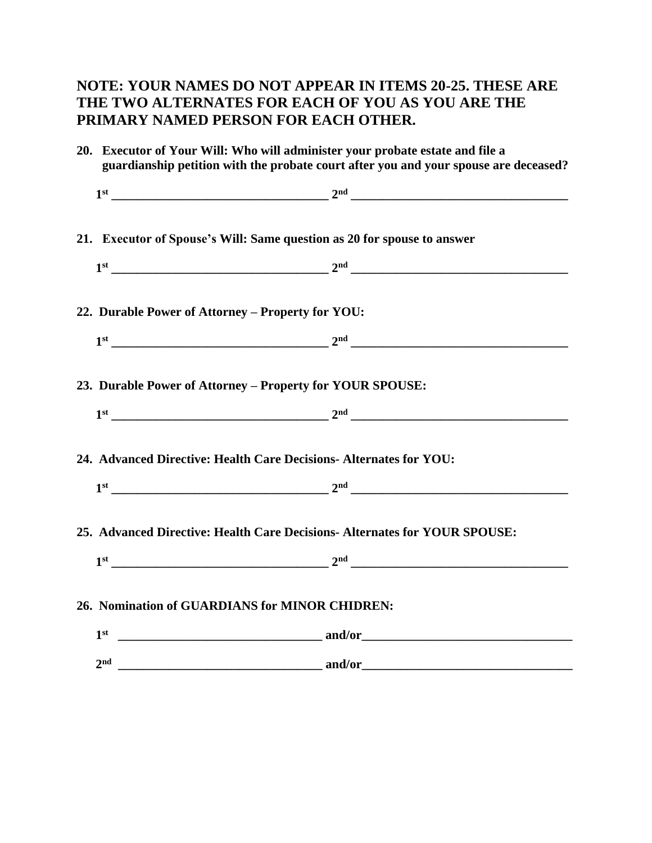### **NOTE: YOUR NAMES DO NOT APPEAR IN ITEMS 20-25. THESE ARE THE TWO ALTERNATES FOR EACH OF YOU AS YOU ARE THE PRIMARY NAMED PERSON FOR EACH OTHER.**

|  | 20. Executor of Your Will: Who will administer your probate estate and file a<br>guardianship petition with the probate court after you and your spouse are deceased?                                                                                                                                                                                                                                                                                                                                                                                                                 |                                                                                                                                                                                                                                                                                                                                                                                                                                                                                                                                                                                       |
|--|---------------------------------------------------------------------------------------------------------------------------------------------------------------------------------------------------------------------------------------------------------------------------------------------------------------------------------------------------------------------------------------------------------------------------------------------------------------------------------------------------------------------------------------------------------------------------------------|---------------------------------------------------------------------------------------------------------------------------------------------------------------------------------------------------------------------------------------------------------------------------------------------------------------------------------------------------------------------------------------------------------------------------------------------------------------------------------------------------------------------------------------------------------------------------------------|
|  |                                                                                                                                                                                                                                                                                                                                                                                                                                                                                                                                                                                       |                                                                                                                                                                                                                                                                                                                                                                                                                                                                                                                                                                                       |
|  | 21. Executor of Spouse's Will: Same question as 20 for spouse to answer                                                                                                                                                                                                                                                                                                                                                                                                                                                                                                               |                                                                                                                                                                                                                                                                                                                                                                                                                                                                                                                                                                                       |
|  | $1st$ 2 <sup>nd</sup> 2 <sup>nd</sup> 2 <sup>nd</sup> 2 <sup>nd</sup> 2 <sup>nd</sup> 2 <sup>nd</sup> 2 <sup>nd</sup> 2 <sup>nd</sup> 2 <sup>nd</sup> 2 <sup>nd</sup> 2 <sup>nd</sup> 2 <sup>nd</sup> 2 <sup>nd</sup> 2 <sup>nd</sup> 2 <sup>nd</sup> 2 <sup>nd</sup> 2 <sup>nd</sup> 2 <sup>nd</sup> 2 <sup>nd</sup> 2 <sup>nd</sup> 2 <sup>nd</sup> 2 <sup>nd</sup> 2 <sup>nd</sup> 2 <sup>nd</sup> 2 <sup>nd</sup> 2 <sup>nd</sup> 2 <sup>nd</sup> 2 <sup>nd</sup> 2 <sup>nd</sup> 2 <sup>nd</sup> 2 <sup>nd</sup> 2 <sup>nd</sup> 2 <sup>nd</sup> 2 <sup>nd</sup> 2 <sup>nd</sup> |                                                                                                                                                                                                                                                                                                                                                                                                                                                                                                                                                                                       |
|  | 22. Durable Power of Attorney - Property for YOU:                                                                                                                                                                                                                                                                                                                                                                                                                                                                                                                                     |                                                                                                                                                                                                                                                                                                                                                                                                                                                                                                                                                                                       |
|  | $1st$ 2 <sup>nd</sup> 2 <sup>nd</sup> 2 <sup>nd</sup> 2 <sup>nd</sup> 2 <sup>nd</sup> 2 <sup>nd</sup> 2 <sup>nd</sup> 2 <sup>nd</sup> 2 <sup>nd</sup> 2 <sup>nd</sup> 2 <sup>nd</sup> 2 <sup>nd</sup> 2 <sup>nd</sup> 2 <sup>nd</sup> 2 <sup>nd</sup> 2 <sup>nd</sup> 2 <sup>nd</sup> 2 <sup>nd</sup> 2 <sup>nd</sup> 2 <sup>nd</sup> 2 <sup>nd</sup> 2 <sup>nd</sup> 2 <sup>nd</sup> 2 <sup>nd</sup> 2 <sup>nd</sup> 2 <sup>nd</sup> 2 <sup>nd</sup> 2 <sup>nd</sup> 2 <sup>nd</sup> 2 <sup>nd</sup> 2 <sup>nd</sup> 2 <sup>nd</sup> 2 <sup>nd</sup> 2 <sup>nd</sup> 2 <sup>nd</sup> |                                                                                                                                                                                                                                                                                                                                                                                                                                                                                                                                                                                       |
|  | 23. Durable Power of Attorney - Property for YOUR SPOUSE:                                                                                                                                                                                                                                                                                                                                                                                                                                                                                                                             |                                                                                                                                                                                                                                                                                                                                                                                                                                                                                                                                                                                       |
|  |                                                                                                                                                                                                                                                                                                                                                                                                                                                                                                                                                                                       |                                                                                                                                                                                                                                                                                                                                                                                                                                                                                                                                                                                       |
|  | 24. Advanced Directive: Health Care Decisions- Alternates for YOU:                                                                                                                                                                                                                                                                                                                                                                                                                                                                                                                    |                                                                                                                                                                                                                                                                                                                                                                                                                                                                                                                                                                                       |
|  |                                                                                                                                                                                                                                                                                                                                                                                                                                                                                                                                                                                       | $1st$ 2 <sup>nd</sup> 2 <sup>nd</sup> 2 <sup>nd</sup> 2 <sup>nd</sup> 2 <sup>nd</sup> 2 <sup>nd</sup> 2 <sup>nd</sup> 2 <sup>nd</sup> 2 <sup>nd</sup> 2 <sup>nd</sup> 2 <sup>nd</sup> 2 <sup>nd</sup> 2 <sup>nd</sup> 2 <sup>nd</sup> 2 <sup>nd</sup> 2 <sup>nd</sup> 2 <sup>nd</sup> 2 <sup>nd</sup> 2 <sup>nd</sup> 2 <sup>nd</sup> 2 <sup>nd</sup> 2 <sup>nd</sup> 2 <sup>nd</sup> 2 <sup>nd</sup> 2 <sup>nd</sup> 2 <sup>nd</sup> 2 <sup>nd</sup> 2 <sup>nd</sup> 2 <sup>nd</sup> 2 <sup>nd</sup> 2 <sup>nd</sup> 2 <sup>nd</sup> 2 <sup>nd</sup> 2 <sup>nd</sup> 2 <sup>nd</sup> |
|  | 25. Advanced Directive: Health Care Decisions-Alternates for YOUR SPOUSE:                                                                                                                                                                                                                                                                                                                                                                                                                                                                                                             |                                                                                                                                                                                                                                                                                                                                                                                                                                                                                                                                                                                       |
|  | $1st$ 2 <sup>nd</sup> 2 <sup>nd</sup> 2 <sup>nd</sup> 2 <sup>nd</sup> 2 <sup>nd</sup> 2 <sup>nd</sup> 2 <sup>nd</sup> 2 <sup>nd</sup> 2 <sup>nd</sup> 2 <sup>nd</sup> 2 <sup>nd</sup> 2 <sup>nd</sup> 2 <sup>nd</sup> 2 <sup>nd</sup> 2 <sup>nd</sup> 2 <sup>nd</sup> 2 <sup>nd</sup> 2 <sup>nd</sup> 2 <sup>nd</sup> 2 <sup>nd</sup> 2 <sup>nd</sup> 2 <sup>nd</sup> 2 <sup>nd</sup> 2 <sup>nd</sup> 2 <sup>nd</sup> 2 <sup>nd</sup> 2 <sup>nd</sup> 2 <sup>nd</sup> 2 <sup>nd</sup> 2 <sup>nd</sup> 2 <sup>nd</sup> 2 <sup>nd</sup> 2 <sup>nd</sup> 2 <sup>nd</sup> 2 <sup>nd</sup> |                                                                                                                                                                                                                                                                                                                                                                                                                                                                                                                                                                                       |
|  | 26. Nomination of GUARDIANS for MINOR CHIDREN:                                                                                                                                                                                                                                                                                                                                                                                                                                                                                                                                        |                                                                                                                                                                                                                                                                                                                                                                                                                                                                                                                                                                                       |
|  | 1 <sup>st</sup>                                                                                                                                                                                                                                                                                                                                                                                                                                                                                                                                                                       |                                                                                                                                                                                                                                                                                                                                                                                                                                                                                                                                                                                       |
|  |                                                                                                                                                                                                                                                                                                                                                                                                                                                                                                                                                                                       |                                                                                                                                                                                                                                                                                                                                                                                                                                                                                                                                                                                       |